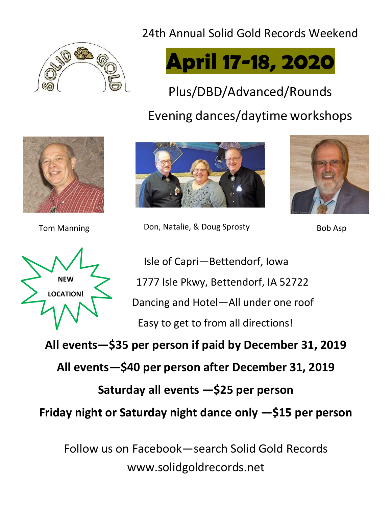## 24th Annual Solid Gold Records Weekend





Plus/DBD/Advanced/Rounds

## Evening dances/daytime workshops





Tom Manning **Don, Natalie, & Doug Sprosty** Bob Asp





Isle of Capri—Bettendorf, Iowa 1777 Isle Pkwy, Bettendorf, IA 52722 Dancing and Hotel—All under one roof Easy to get to from all directions!

**All events—\$35 per person if paid by December 31, 2019**

**All events—\$40 per person after December 31, 2019**

**Saturday all events —\$25 per person**

**Friday night or Saturday night dance only —\$15 per person**

Follow us on Facebook—search Solid Gold Records [www.solidgoldrecords.net](http://www.solidgoldrecords.net/)